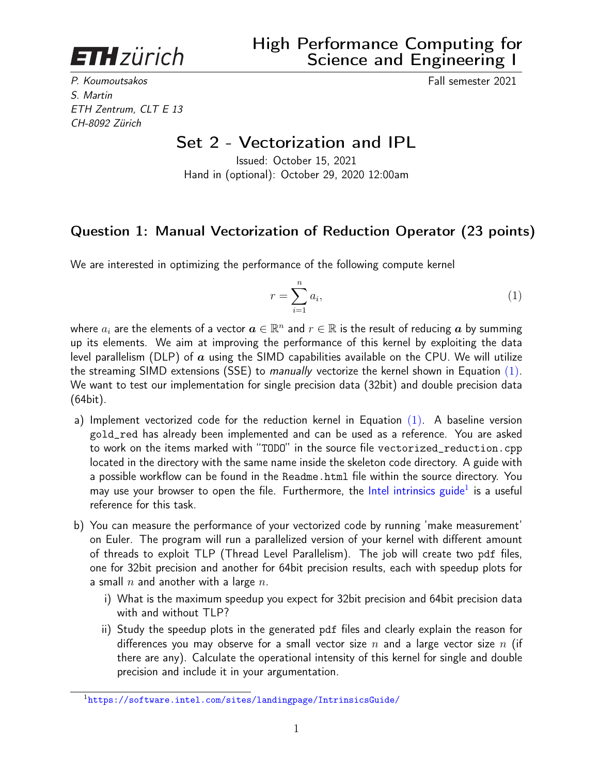<span id="page-0-1"></span>**ETH**zürich

P. Koumoutsakos Fall semester 2021 S. Martin ETH Zentrum, CLT E 13 CH-8092 Zürich

## Set 2 - Vectorization and IPL

Issued: October 15, 2021 Hand in (optional): October 29, 2020 12:00am

## Question 1: Manual Vectorization of Reduction Operator (23 points)

We are interested in optimizing the performance of the following compute kernel

<span id="page-0-0"></span>
$$
r = \sum_{i=1}^{n} a_i,\tag{1}
$$

where  $a_i$  are the elements of a vector  $\bm{a}\in\mathbb{R}^n$  and  $r\in\mathbb{R}$  is the result of reducing  $\bm{a}$  by summing up its elements. We aim at improving the performance of this kernel by exploiting the data level parallelism (DLP) of  $\alpha$  using the SIMD capabilities available on the CPU. We will utilize the streaming SIMD extensions (SSE) to manually vectorize the kernel shown in Equation  $(1)$ . We want to test our implementation for single precision data (32bit) and double precision data (64bit).

- a) Implement vectorized code for the reduction kernel in Equation  $(1)$ . A baseline version gold\_red has already been implemented and can be used as a reference. You are asked to work on the items marked with "TODO" in the source file vectorized\_reduction.cpp located in the directory with the same name inside the skeleton code directory. A guide with a possible workflow can be found in the Readme.html file within the source directory. You may use your browser to open the file. Furthermore, the [Intel intrinsics guide](https://software.intel.com/sites/landingpage/IntrinsicsGuide/)<sup>1</sup> is a useful reference for this task.
- b) You can measure the performance of your vectorized code by running 'make measurement' on Euler. The program will run a parallelized version of your kernel with different amount of threads to exploit TLP (Thread Level Parallelism). The job will create two pdf files, one for 32bit precision and another for 64bit precision results, each with speedup plots for a small  $n$  and another with a large  $n$ .
	- i) What is the maximum speedup you expect for 32bit precision and 64bit precision data with and without TLP?
	- ii) Study the speedup plots in the generated pdf files and clearly explain the reason for differences you may observe for a small vector size  $n$  and a large vector size  $n$  (if there are any). Calculate the operational intensity of this kernel for single and double precision and include it in your argumentation.

<sup>1</sup><https://software.intel.com/sites/landingpage/IntrinsicsGuide/>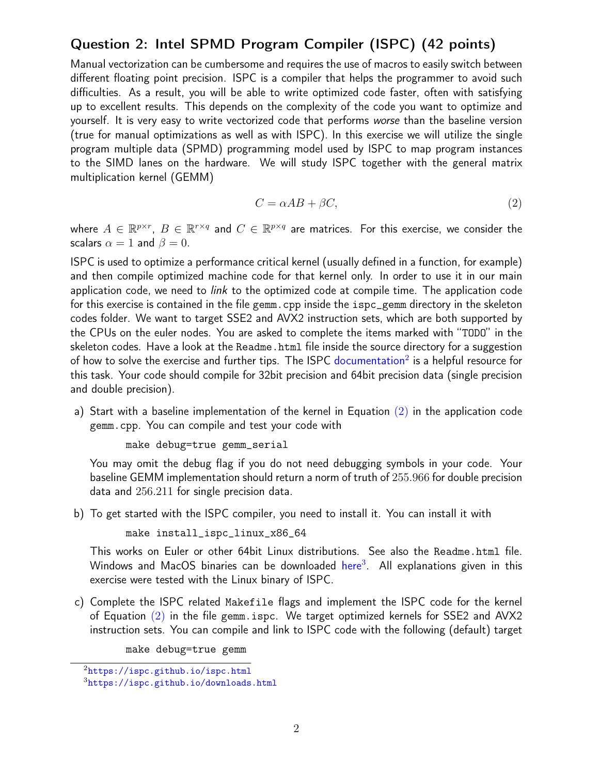## Question 2: Intel SPMD Program Compiler (ISPC) (42 points)

Manual vectorization can be cumbersome and requires the use of macros to easily switch between different floating point precision. ISPC is a compiler that helps the programmer to avoid such difficulties. As a result, you will be able to write optimized code faster, often with satisfying up to excellent results. This depends on the complexity of the code you want to optimize and yourself. It is very easy to write vectorized code that performs worse than the baseline version (true for manual optimizations as well as with ISPC). In this exercise we will utilize the single program multiple data (SPMD) programming model used by ISPC to map program instances to the SIMD lanes on the hardware. We will study ISPC together with the general matrix multiplication kernel (GEMM)

<span id="page-1-0"></span>
$$
C = \alpha AB + \beta C,\tag{2}
$$

where  $A\in\mathbb{R}^{p\times r}$ ,  $B\in\mathbb{R}^{r\times q}$  and  $C\in\mathbb{R}^{p\times q}$  are matrices. For this exercise, we consider the scalars  $\alpha = 1$  and  $\beta = 0$ .

ISPC is used to optimize a performance critical kernel (usually defined in a function, for example) and then compile optimized machine code for that kernel only. In order to use it in our main application code, we need to *link* to the optimized code at compile time. The application code for this exercise is contained in the file gemm.cpp inside the ispc\_gemm directory in the skeleton codes folder. We want to target SSE2 and AVX2 instruction sets, which are both supported by the CPUs on the euler nodes. You are asked to complete the items marked with "TODO" in the skeleton codes. Have a look at the Readme.html file inside the source directory for a suggestion of how to solve the exercise and further tips. The ISPC [documentation](https://ispc.github.io/ispc.html)<sup>[2](#page-0-1)</sup> is a helpful resource for this task. Your code should compile for 32bit precision and 64bit precision data (single precision and double precision).

a) Start with a baseline implementation of the kernel in Equation  $(2)$  in the application code gemm.cpp. You can compile and test your code with

```
make debug=true gemm_serial
```
You may omit the debug flag if you do not need debugging symbols in your code. Your baseline GEMM implementation should return a norm of truth of 255.966 for double precision data and 256.211 for single precision data.

b) To get started with the ISPC compiler, you need to install it. You can install it with

make install\_ispc\_linux\_x86\_64

This works on Euler or other 64bit Linux distributions. See also the Readme.html file. Windows and MacOS binaries can be downloaded [here](https://ispc.github.io/downloads.html)<sup>[3](#page-0-1)</sup>. All explanations given in this exercise were tested with the Linux binary of ISPC.

c) Complete the ISPC related Makefile flags and implement the ISPC code for the kernel of Equation [\(2\)](#page-1-0) in the file gemm.ispc. We target optimized kernels for SSE2 and AVX2 instruction sets. You can compile and link to ISPC code with the following (default) target

make debug=true gemm

 $^{2}$ <https://ispc.github.io/ispc.html>

<sup>3</sup><https://ispc.github.io/downloads.html>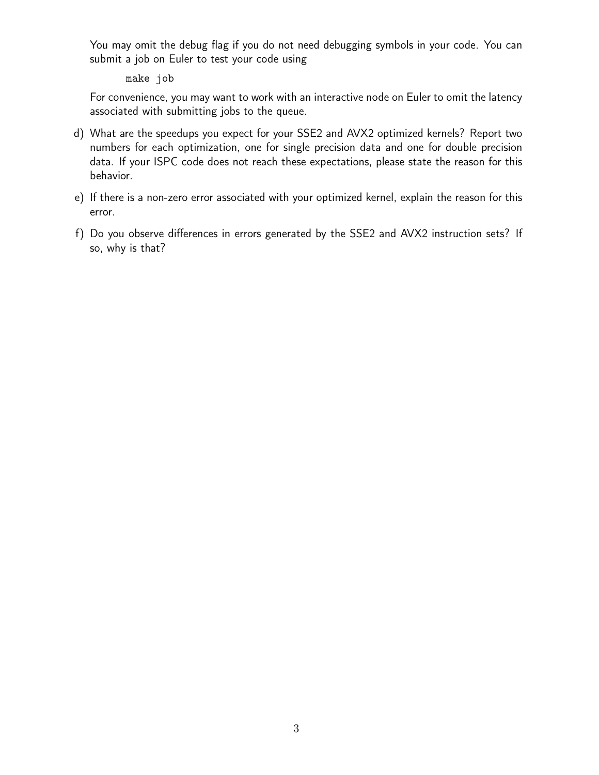You may omit the debug flag if you do not need debugging symbols in your code. You can submit a job on Euler to test your code using

make job

For convenience, you may want to work with an interactive node on Euler to omit the latency associated with submitting jobs to the queue.

- d) What are the speedups you expect for your SSE2 and AVX2 optimized kernels? Report two numbers for each optimization, one for single precision data and one for double precision data. If your ISPC code does not reach these expectations, please state the reason for this behavior.
- e) If there is a non-zero error associated with your optimized kernel, explain the reason for this error.
- f) Do you observe differences in errors generated by the SSE2 and AVX2 instruction sets? If so, why is that?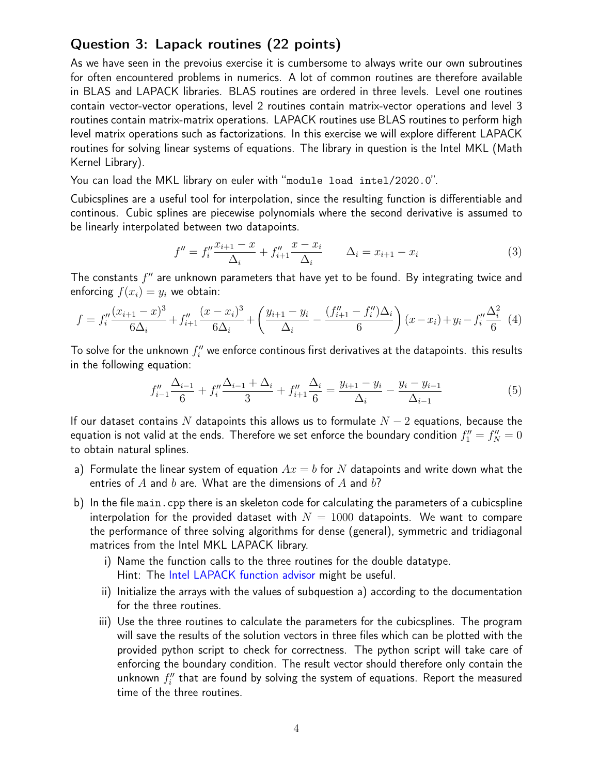## Question 3: Lapack routines (22 points)

As we have seen in the prevoius exercise it is cumbersome to always write our own subroutines for often encountered problems in numerics. A lot of common routines are therefore available in BLAS and LAPACK libraries. BLAS routines are ordered in three levels. Level one routines contain vector-vector operations, level 2 routines contain matrix-vector operations and level 3 routines contain matrix-matrix operations. LAPACK routines use BLAS routines to perform high level matrix operations such as factorizations. In this exercise we will explore different LAPACK routines for solving linear systems of equations. The library in question is the Intel MKL (Math Kernel Library).

You can load the MKL library on euler with "module load intel/2020.0".

Cubicsplines are a useful tool for interpolation, since the resulting function is differentiable and continous. Cubic splines are piecewise polynomials where the second derivative is assumed to be linearly interpolated between two datapoints.

$$
f'' = f_i'' \frac{x_{i+1} - x}{\Delta_i} + f_{i+1}'' \frac{x - x_i}{\Delta_i} \qquad \Delta_i = x_{i+1} - x_i \tag{3}
$$

The constants  $f''$  are unknown parameters that have yet to be found. By integrating twice and enforcing  $f(x_i) = y_i$  we obtain:

$$
f = f_i'' \frac{(x_{i+1} - x)^3}{6\Delta_i} + f_{i+1}'' \frac{(x - x_i)^3}{6\Delta_i} + \left(\frac{y_{i+1} - y_i}{\Delta_i} - \frac{(f_{i+1}'' - f_i'')\Delta_i}{6}\right)(x - x_i) + y_i - f_i'' \frac{\Delta_i^2}{6} \tag{4}
$$

To solve for the unknown  $f_i^{\prime\prime}$  we enforce continous first derivatives at the datapoints. this results in the following equation:

$$
f''_{i-1} \frac{\Delta_{i-1}}{6} + f''_i \frac{\Delta_{i-1} + \Delta_i}{3} + f''_{i+1} \frac{\Delta_i}{6} = \frac{y_{i+1} - y_i}{\Delta_i} - \frac{y_i - y_{i-1}}{\Delta_{i-1}}
$$
(5)

If our dataset contains N datapoints this allows us to formulate  $N-2$  equations, because the equation is not valid at the ends. Therefore we set enforce the boundary condition  $f''_1=f''_N=0$ to obtain natural splines.

- a) Formulate the linear system of equation  $Ax = b$  for N datapoints and write down what the entries of  $A$  and  $b$  are. What are the dimensions of  $A$  and  $b$ ?
- b) In the file main.cpp there is an skeleton code for calculating the parameters of a cubicspline interpolation for the provided dataset with  $N = 1000$  datapoints. We want to compare the performance of three solving algorithms for dense (general), symmetric and tridiagonal matrices from the Intel MKL LAPACK library.
	- i) Name the function calls to the three routines for the double datatype. Hint: The [Intel LAPACK function advisor](https://software.intel.com/content/www/us/en/develop/tools/oneapi/components/onemkl/function-finding-advisor.html) might be useful.
	- ii) Initialize the arrays with the values of subquestion a) according to the documentation for the three routines.
	- iii) Use the three routines to calculate the parameters for the cubicsplines. The program will save the results of the solution vectors in three files which can be plotted with the provided python script to check for correctness. The python script will take care of enforcing the boundary condition. The result vector should therefore only contain the unknown  $f''_i$  that are found by solving the system of equations. Report the measured time of the three routines.